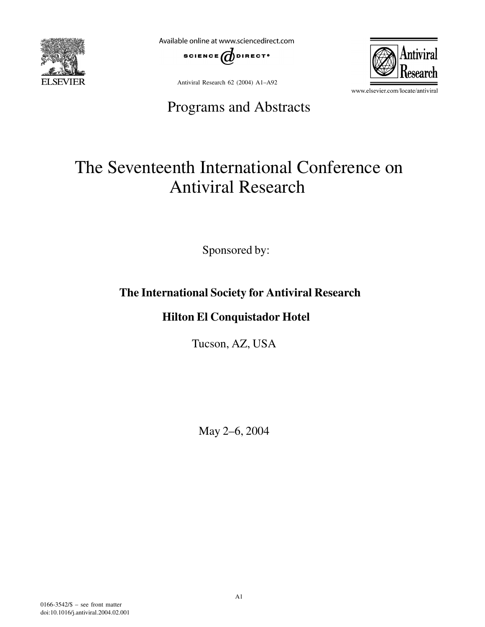

Available online at www.sciencedirect.com



Antiviral Research 62 (2004) A1–A92

## Programs and Abstracts



www.elsevier.com/locate/antiviral

# The Seventeenth International Conference on Antiviral Research

Sponsored by:

## **The International Society for Antiviral Research**

### **Hilton El Conquistador Hotel**

Tucson, AZ, USA

May 2–6, 2004